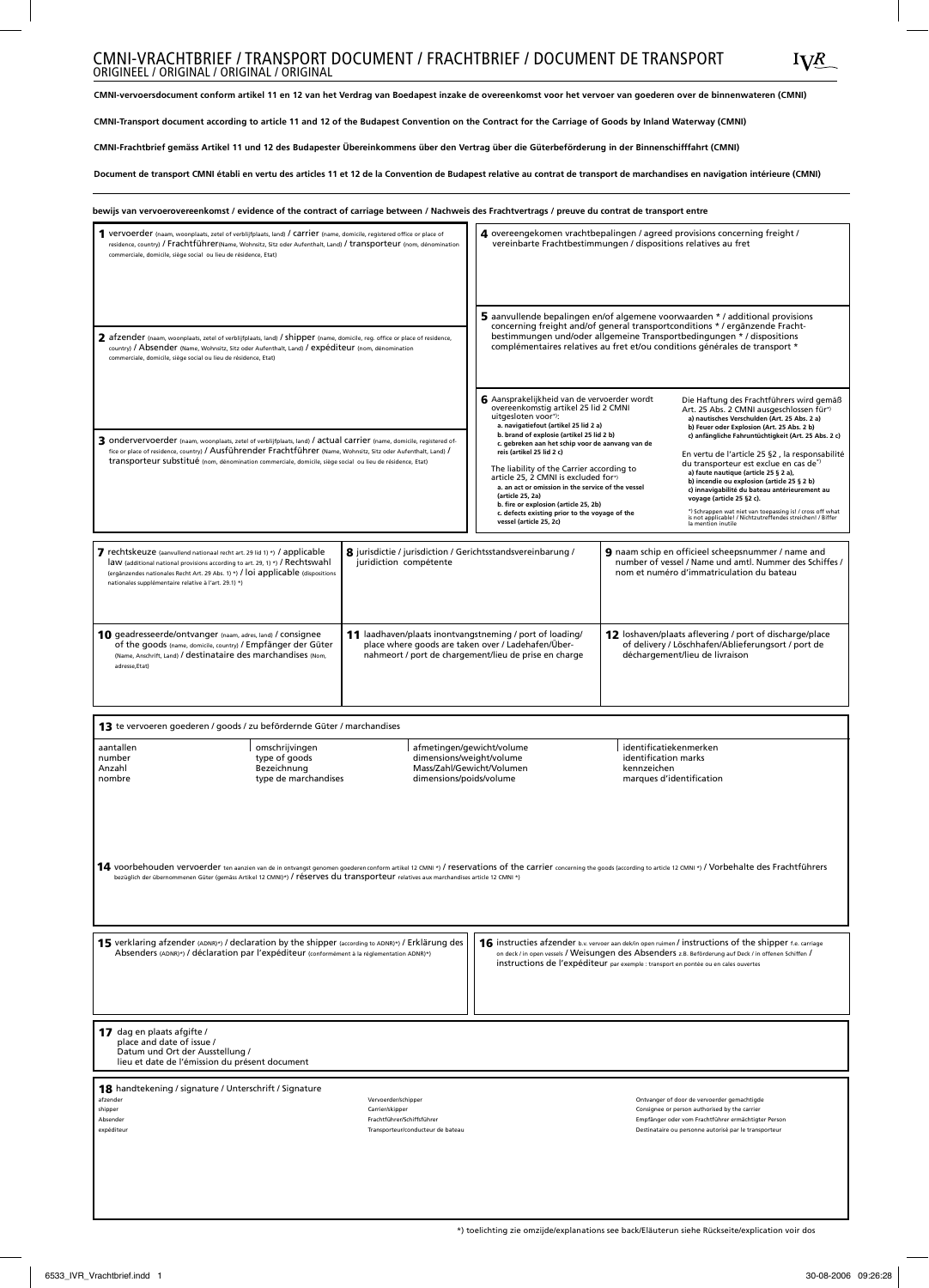# CMNI-VRACHTBRIEF / TRANSPORT DOCUMENT / FRACHTBRIEF / DOCUMENT DE TRANSPORT ORIGINAL / ORIGINAL / ORIGINAL / ORIGINAL

**CMNI-vervoersdocument conform artikel 11 en 12 van het Verdrag van Boedapest inzake de overeenkomst voor het vervoer van goederen over de binnenwateren (CMNI)** 

**CMNI-Transport document according to article 11 and 12 of the Budapest Convention on the Contract for the Carriage of Goods by Inland Waterway (CMNI)** 

**CMNI-Frachtbrief gemäss Artikel 11 und 12 des Budapester Übereinkommens über den Vertrag über die Güterbeförderung in der Binnenschifffahrt (CMNI)**

**Document de transport CMNI établi en vertu des articles 11 et 12 de la Convention de Budapest relative au contrat de transport de marchandises en navigation intérieure (CMNI)** 

| bewijs van vervoerovereenkomst / evidence of the contract of carriage between / Nachweis des Frachtvertrags / preuve du contrat de transport entre                                                                                                                                                                                                                                                                                                                                                                  |                                                                                                                                                                                                                                                                                                                            |                                                                                                                                                                                                                                                                                                                                                                                                                                                                                                                                                                        |                                                                                                                                                                                                                                                                                                                                                                                                                                                                                                                                                                                                                                                                          |
|---------------------------------------------------------------------------------------------------------------------------------------------------------------------------------------------------------------------------------------------------------------------------------------------------------------------------------------------------------------------------------------------------------------------------------------------------------------------------------------------------------------------|----------------------------------------------------------------------------------------------------------------------------------------------------------------------------------------------------------------------------------------------------------------------------------------------------------------------------|------------------------------------------------------------------------------------------------------------------------------------------------------------------------------------------------------------------------------------------------------------------------------------------------------------------------------------------------------------------------------------------------------------------------------------------------------------------------------------------------------------------------------------------------------------------------|--------------------------------------------------------------------------------------------------------------------------------------------------------------------------------------------------------------------------------------------------------------------------------------------------------------------------------------------------------------------------------------------------------------------------------------------------------------------------------------------------------------------------------------------------------------------------------------------------------------------------------------------------------------------------|
| 1 vervoerder (naam, woonplaats, zetel of verblijfplaats, land) / Carrier (name, domicile, registered office or place of<br>residence, country) / Frachtführer(Name, Wohnsitz, Sitz oder Aufenthalt, Land) / transporteur (nom, dénomination<br>commerciale, domicile, siège social ou lieu de résidence, Etat)                                                                                                                                                                                                      |                                                                                                                                                                                                                                                                                                                            | 4 overeengekomen vrachtbepalingen / agreed provisions concerning freight /<br>vereinbarte Frachtbestimmungen / dispositions relatives au fret                                                                                                                                                                                                                                                                                                                                                                                                                          |                                                                                                                                                                                                                                                                                                                                                                                                                                                                                                                                                                                                                                                                          |
| 2 afzender (naam, woonplaats, zetel of verblijfplaats, land) / shipper (name, domicile, reg. office or place of residence,<br>country) / Absender (Name, Wohnsitz, Sitz oder Aufenthalt, Land) / expéditeur (nom, dénomination<br>commerciale, domicile, siège social ou lieu de résidence, Etat)                                                                                                                                                                                                                   |                                                                                                                                                                                                                                                                                                                            | 5 aanvullende bepalingen en/of algemene voorwaarden */additional provisions<br>concerning freight and/of general transportconditions */ergänzende Fracht-<br>bestimmungen und/oder allgemeine Transportbedingungen */dispositions<br>complémentaires relatives au fret et/ou conditions générales de transport *                                                                                                                                                                                                                                                       |                                                                                                                                                                                                                                                                                                                                                                                                                                                                                                                                                                                                                                                                          |
| 3 ondervervoerder (naam, woonplaats, zetel of verblijfplaats, land) / actual carrier (name, domicile, registered of-<br>fice or place of residence, country) / Ausführender Frachtführer (Name, Wohnsitz, Sitz oder Aufenthalt, Land) /<br>transporteur substitué (nom, dénomination commerciale, domicile, siège social ou lieu de résidence, Etat)                                                                                                                                                                |                                                                                                                                                                                                                                                                                                                            | 6 Aansprakelijkheid van de vervoerder wordt<br>overeenkomstig artikel 25 lid 2 CMNI<br>uitgesloten voor*):<br>a. navigatiefout (artikel 25 lid 2 a)<br>b. brand of explosie (artikel 25 lid 2 b)<br>c. gebreken aan het schip voor de aanvang van de<br>reis (artikel 25 lid 2 c)<br>The liability of the Carrier according to<br>article 25, 2 CMNI is excluded for*)<br>a. an act or omission in the service of the vessel<br>(article 25, 2a)<br>b. fire or explosion (article 25, 2b)<br>c. defects existing prior to the voyage of the<br>vessel (article 25, 2c) | Die Haftung des Frachtführers wird gemäß<br>Art. 25 Abs. 2 CMNI ausgeschlossen für*)<br>a) nautisches Verschulden (Art. 25 Abs. 2 a)<br>b) Feuer oder Explosion (Art. 25 Abs. 2 b)<br>c) anfängliche Fahruntüchtigkeit (Art. 25 Abs. 2 c)<br>En vertu de l'article 25 §2, la responsabilité<br>du transporteur est exclue en cas de <sup>*)</sup><br>a) faute nautique (article 25 § 2 a),<br>b) incendie ou explosion (article 25 § 2 b)<br>c) innavigabilité du bateau antérieurement au<br>voyage (article 25 §2 c).<br>*) Schrappen wat niet van toepassing is! / cross off what<br>is not applicable! / Nichtzutreffendes streichen! / Biffer<br>la mention inutile |
| 7 rechtskeuze (aanvullend nationaal recht art. 29 lid 1) *) / applicable<br>law (additional national provisions according to art. 29, 1) *) / Rechtswahl<br>(ergänzendes nationales Recht Art. 29 Abs. 1) *) / loi applicable (dispositions<br>nationales supplémentaire relative à l'art. 29.1) *)                                                                                                                                                                                                                 | 8 jurisdictie / jurisdiction / Gerichtsstandsvereinbarung /<br>juridiction compétente                                                                                                                                                                                                                                      | 9 naam schip en officieel scheepsnummer / name and<br>number of vessel / Name und amtl. Nummer des Schiffes /<br>nom et numéro d'immatriculation du bateau                                                                                                                                                                                                                                                                                                                                                                                                             |                                                                                                                                                                                                                                                                                                                                                                                                                                                                                                                                                                                                                                                                          |
| 10 geadresseerde/ontvanger (naam, adres, land) / consignee<br>of the goods (name, domicile, country) / Empfänger der Güter<br>(Name, Anschrift, Land) / destinataire des marchandises (Nom,<br>adresse, Etat)                                                                                                                                                                                                                                                                                                       | 12 loshaven/plaats aflevering / port of discharge/place<br>11 laadhaven/plaats inontvangstneming / port of loading/<br>place where goods are taken over / Ladehafen/Über-<br>of delivery / Löschhafen/Ablieferungsort / port de<br>nahmeort / port de chargement/lieu de prise en charge<br>déchargement/lieu de livraison |                                                                                                                                                                                                                                                                                                                                                                                                                                                                                                                                                                        |                                                                                                                                                                                                                                                                                                                                                                                                                                                                                                                                                                                                                                                                          |
| 13 te vervoeren goederen / goods / zu befördernde Güter / marchandises                                                                                                                                                                                                                                                                                                                                                                                                                                              |                                                                                                                                                                                                                                                                                                                            |                                                                                                                                                                                                                                                                                                                                                                                                                                                                                                                                                                        |                                                                                                                                                                                                                                                                                                                                                                                                                                                                                                                                                                                                                                                                          |
| afmetingen/gewicht/volume<br>aantallen<br>omschrijvingen<br>dimensions/weight/volume<br>number<br>type of goods<br>Bezeichnung<br>Mass/Zahl/Gewicht/Volumen<br>Anzahl<br>type de marchandises<br>dimensions/poids/volume<br>nombre                                                                                                                                                                                                                                                                                  |                                                                                                                                                                                                                                                                                                                            |                                                                                                                                                                                                                                                                                                                                                                                                                                                                                                                                                                        | identificatiekenmerken<br>identification marks<br>kennzeichen<br>marques d'identification                                                                                                                                                                                                                                                                                                                                                                                                                                                                                                                                                                                |
| 14 voorbehouden vervoerder ten aanzien van de in ontvangst genomen goederen conform artikel 12 CMNI *) / reservations of the carrier concerning the goods (according to article 12 CMNI *) / Vorbehalte des Frachtführers<br>bezüglich der übernommenen Güter (gemäss Artikel 12 CMNI)*) / réserves du transporteur relatives aux marchandises article 12 CMNI *)                                                                                                                                                   |                                                                                                                                                                                                                                                                                                                            |                                                                                                                                                                                                                                                                                                                                                                                                                                                                                                                                                                        |                                                                                                                                                                                                                                                                                                                                                                                                                                                                                                                                                                                                                                                                          |
| <b>15</b> verklaring afzender (ADNR)*) / declaration by the shipper (according to ADNR)*) / Erklärung des<br>16 instructies afzender b.v. vervoer aan dek/in open ruimen / instructions of the shipper f.e. carriage<br>Absenders (ADNR)*) / déclaration par l'expéditeur (conformément à la réglementation ADNR)*)<br>on deck / in open vessels / Weisungen des Absenders z.B. Beförderung auf Deck / in offenen Schiffen /<br>instructions de l'expéditeur par exemple : transport en pontée ou en cales ouvertes |                                                                                                                                                                                                                                                                                                                            |                                                                                                                                                                                                                                                                                                                                                                                                                                                                                                                                                                        |                                                                                                                                                                                                                                                                                                                                                                                                                                                                                                                                                                                                                                                                          |
| 17 dag en plaats afgifte /<br>place and date of issue /<br>Datum und Ort der Ausstellung /<br>lieu et date de l'émission du présent document                                                                                                                                                                                                                                                                                                                                                                        |                                                                                                                                                                                                                                                                                                                            |                                                                                                                                                                                                                                                                                                                                                                                                                                                                                                                                                                        |                                                                                                                                                                                                                                                                                                                                                                                                                                                                                                                                                                                                                                                                          |
| 18 handtekening / signature / Unterschrift / Signature<br>afzender<br>shipper<br>Absender<br>expéditeur                                                                                                                                                                                                                                                                                                                                                                                                             | Vervoerder/schipper<br>Carrier/skipper<br>Frachtführer/Schiffsführer<br>Transporteur/conducteur de bateau                                                                                                                                                                                                                  |                                                                                                                                                                                                                                                                                                                                                                                                                                                                                                                                                                        | Ontvanger of door de vervoerder gemachtigde<br>Consignee or person authorised by the carrier<br>Empfänger oder vom Frachtführer ermächtigter Person<br>Destinataire ou personne autorisé par le transporteur                                                                                                                                                                                                                                                                                                                                                                                                                                                             |
|                                                                                                                                                                                                                                                                                                                                                                                                                                                                                                                     |                                                                                                                                                                                                                                                                                                                            |                                                                                                                                                                                                                                                                                                                                                                                                                                                                                                                                                                        |                                                                                                                                                                                                                                                                                                                                                                                                                                                                                                                                                                                                                                                                          |